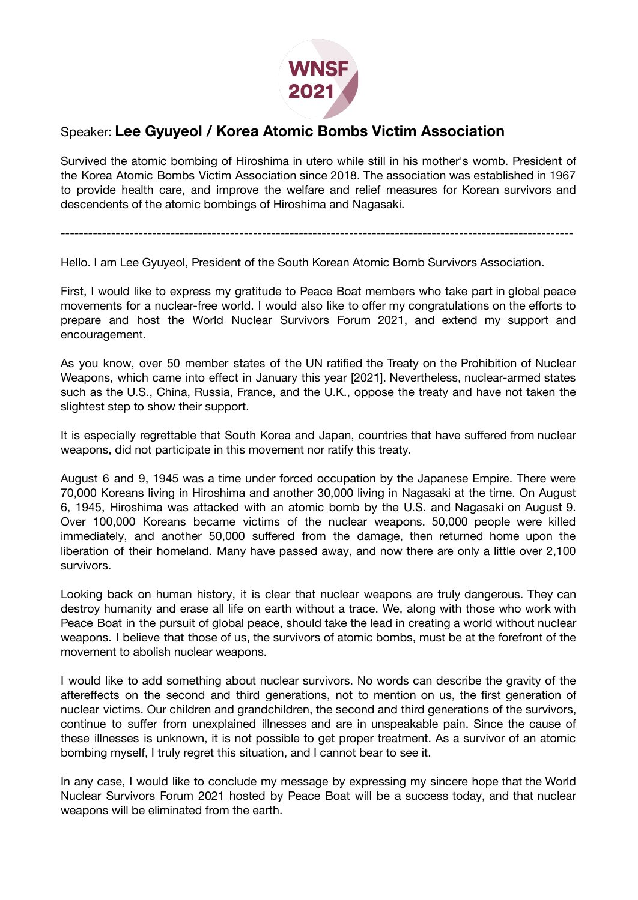

## Speaker: **Lee Gyuyeol / Korea Atomic Bombs Victim Association**

Survived the atomic bombing of Hiroshima in utero while still in his mother's womb. President of the Korea Atomic Bombs Victim Association since 2018. The association was established in 1967 to provide health care, and improve the welfare and relief measures for Korean survivors and descendents of the atomic bombings of Hiroshima and Nagasaki.

----------------------------------------------------------------------------------------------------------------

Hello. I am Lee Gyuyeol, President of the South Korean Atomic Bomb Survivors Association.

First, I would like to express my gratitude to Peace Boat members who take part in global peace movements for a nuclear-free world. I would also like to offer my congratulations on the efforts to prepare and host the World Nuclear Survivors Forum 2021, and extend my support and encouragement.

As you know, over 50 member states of the UN ratified the Treaty on the Prohibition of Nuclear Weapons, which came into effect in January this year [2021]. Nevertheless, nuclear-armed states such as the U.S., China, Russia, France, and the U.K., oppose the treaty and have not taken the slightest step to show their support.

It is especially regrettable that South Korea and Japan, countries that have suffered from nuclear weapons, did not participate in this movement nor ratify this treaty.

August 6 and 9, 1945 was a time under forced occupation by the Japanese Empire. There were 70,000 Koreans living in Hiroshima and another 30,000 living in Nagasaki at the time. On August 6, 1945, Hiroshima was attacked with an atomic bomb by the U.S. and Nagasaki on August 9. Over 100,000 Koreans became victims of the nuclear weapons. 50,000 people were killed immediately, and another 50,000 suffered from the damage, then returned home upon the liberation of their homeland. Many have passed away, and now there are only a little over 2,100 survivors.

Looking back on human history, it is clear that nuclear weapons are truly dangerous. They can destroy humanity and erase all life on earth without a trace. We, along with those who work with Peace Boat in the pursuit of global peace, should take the lead in creating a world without nuclear weapons. I believe that those of us, the survivors of atomic bombs, must be at the forefront of the movement to abolish nuclear weapons.

I would like to add something about nuclear survivors. No words can describe the gravity of the aftereffects on the second and third generations, not to mention on us, the first generation of nuclear victims. Our children and grandchildren, the second and third generations of the survivors, continue to suffer from unexplained illnesses and are in unspeakable pain. Since the cause of these illnesses is unknown, it is not possible to get proper treatment. As a survivor of an atomic bombing myself, I truly regret this situation, and I cannot bear to see it.

In any case, I would like to conclude my message by expressing my sincere hope that the World Nuclear Survivors Forum 2021 hosted by Peace Boat will be a success today, and that nuclear weapons will be eliminated from the earth.